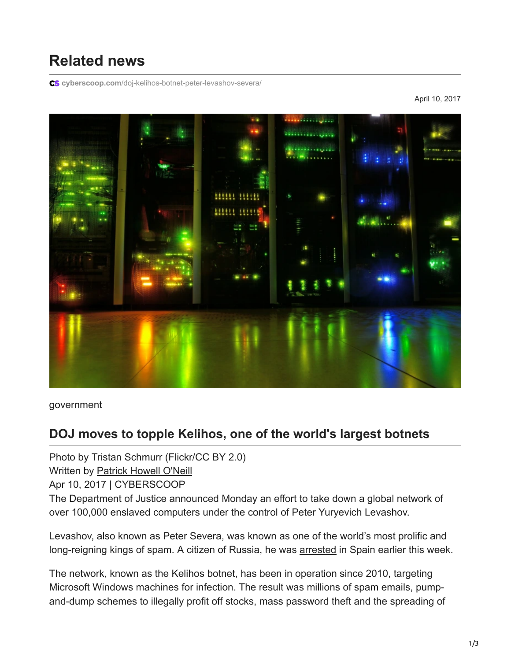## **Related news**

**cyberscoop.com**[/doj-kelihos-botnet-peter-levashov-severa/](https://www.cyberscoop.com/doj-kelihos-botnet-peter-levashov-severa/)

April 10, 2017



government

## **DOJ moves to topple Kelihos, one of the world's largest botnets**

Photo by Tristan Schmurr (Flickr/CC BY 2.0)

Written by [Patrick Howell O'Neill](https://www.cyberscoop.com/author/oneill/)

Apr 10, 2017 | CYBERSCOOP

The Department of Justice announced Monday an effort to take down a global network of over 100,000 enslaved computers under the control of Peter Yuryevich Levashov.

Levashov, also known as Peter Severa, was known as one of the world's most prolific and long-reigning kings of spam. A citizen of Russia, he was [arrested](https://www.buzzfeed.com/sheerafrenkel/this-is-the-russian-hacker-detained-in-spain-for-helping?utm_term=.qdorgRjdpz#.lul5Xlr7aL) in Spain earlier this week.

The network, known as the Kelihos botnet, has been in operation since 2010, targeting Microsoft Windows machines for infection. The result was millions of spam emails, pumpand-dump schemes to illegally profit off stocks, mass password theft and the spreading of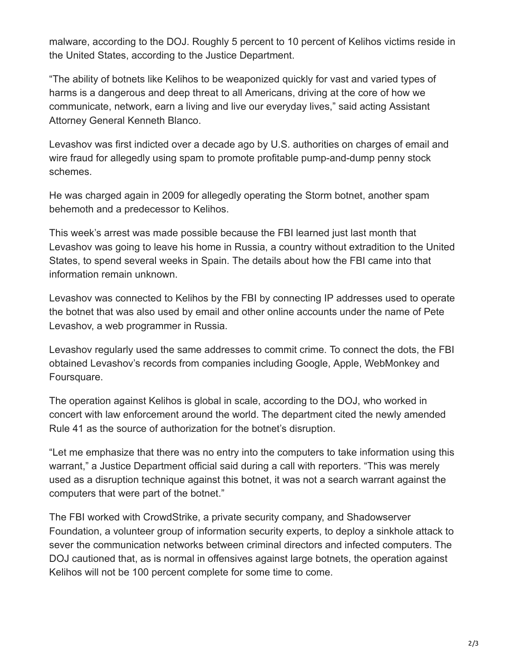malware, according to the DOJ. Roughly 5 percent to 10 percent of Kelihos victims reside in the United States, according to the Justice Department.

"The ability of botnets like Kelihos to be weaponized quickly for vast and varied types of harms is a dangerous and deep threat to all Americans, driving at the core of how we communicate, network, earn a living and live our everyday lives," said acting Assistant Attorney General Kenneth Blanco.

Levashov was first indicted over a decade ago by U.S. authorities on charges of email and wire fraud for allegedly using spam to promote profitable pump-and-dump penny stock schemes.

He was charged again in 2009 for allegedly operating the Storm botnet, another spam behemoth and a predecessor to Kelihos.

This week's arrest was made possible because the FBI learned just last month that Levashov was going to leave his home in Russia, a country without extradition to the United States, to spend several weeks in Spain. The details about how the FBI came into that information remain unknown.

Levashov was connected to Kelihos by the FBI by connecting IP addresses used to operate the botnet that was also used by email and other online accounts under the name of Pete Levashov, a web programmer in Russia.

Levashov regularly used the same addresses to commit crime. To connect the dots, the FBI obtained Levashov's records from companies including Google, Apple, WebMonkey and Foursquare.

The operation against Kelihos is global in scale, according to the DOJ, who worked in concert with law enforcement around the world. The department cited the newly amended Rule 41 as the source of authorization for the botnet's disruption.

"Let me emphasize that there was no entry into the computers to take information using this warrant," a Justice Department official said during a call with reporters. "This was merely used as a disruption technique against this botnet, it was not a search warrant against the computers that were part of the botnet."

The FBI worked with CrowdStrike, a private security company, and Shadowserver Foundation, a volunteer group of information security experts, to deploy a sinkhole attack to sever the communication networks between criminal directors and infected computers. The DOJ cautioned that, as is normal in offensives against large botnets, the operation against Kelihos will not be 100 percent complete for some time to come.